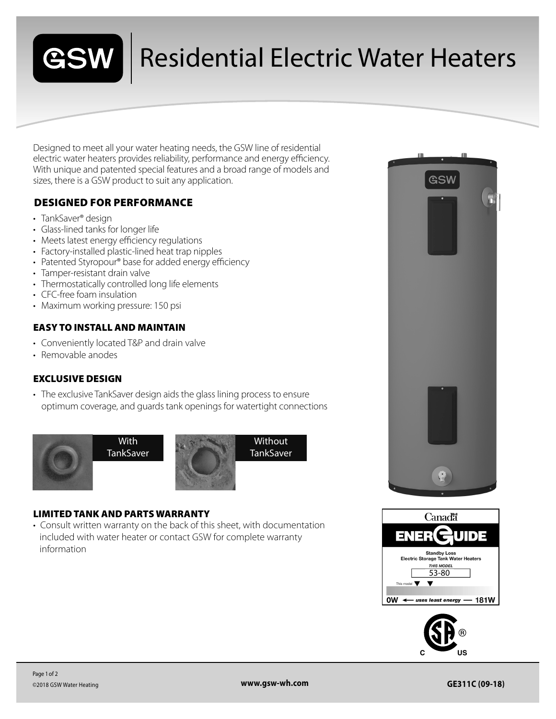

## Residential Electric Water Heaters

Designed to meet all your water heating needs, the GSW line of residential electric water heaters provides reliability, performance and energy efficiency. With unique and patented special features and a broad range of models and sizes, there is a GSW product to suit any application.

### DESIGNED FOR PERFORMANCE

- TankSaver<sup>®</sup> design
- Glass-lined tanks for longer life
- Meets latest energy efficiency regulations
- Factory-installed plastic-lined heat trap nipples
- Patented Styropour® base for added energy efficiency
- Tamper-resistant drain valve
- Thermostatically controlled long life elements
- CFC-free foam insulation
- Maximum working pressure: 150 psi

#### EASY TO INSTALL AND MAINTAIN

- Conveniently located T&P and drain valve
- Removable anodes

#### EXCLUSIVE DESIGN

• The exclusive TankSaver design aids the glass lining process to ensure optimum coverage, and guards tank openings for watertight connections



#### LIMITED TANK AND PARTS WARRANTY

• Consult written warranty on the back of this sheet, with documentation included with water heater or contact GSW for complete warranty information